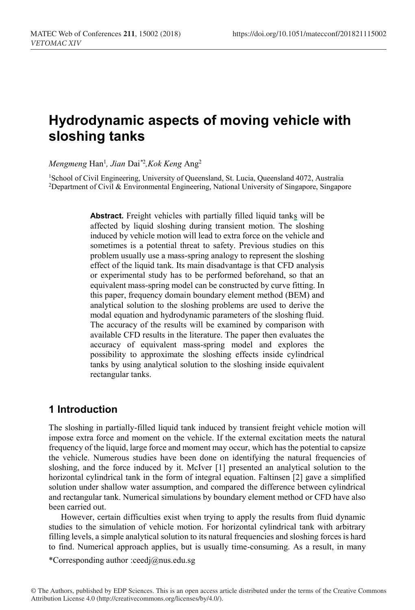# **Hydrodynamic aspects of moving vehicle with sloshing tanks**

*Mengmeng* Han1 *, Jian* Dai*\**<sup>2</sup> *,Kok Keng* Ang2

1School of Civil Engineering, University of Queensland, St. Lucia, Queensland 4072, Australia 2Department of Civil & Environmental Engineering, National University of Singapore, Singapore

> **Abstract.** Freight vehicles with partially filled liquid tanks will be affected by liquid sloshing during transient motion. The sloshing induced by vehicle motion will lead to extra force on the vehicle and sometimes is a potential threat to safety. Previous studies on this problem usually use a mass-spring analogy to represent the sloshing effect of the liquid tank. Its main disadvantage is that CFD analysis or experimental study has to be performed beforehand, so that an equivalent mass-spring model can be constructed by curve fitting. In this paper, frequency domain boundary element method (BEM) and analytical solution to the sloshing problems are used to derive the modal equation and hydrodynamic parameters of the sloshing fluid. The accuracy of the results will be examined by comparison with available CFD results in the literature. The paper then evaluates the accuracy of equivalent mass-spring model and explores the possibility to approximate the sloshing effects inside cylindrical tanks by using analytical solution to the sloshing inside equivalent rectangular tanks.

## **1 Introduction**

The sloshing in partially-filled liquid tank induced by transient freight vehicle motion will impose extra force and moment on the vehicle. If the external excitation meets the natural frequency of the liquid, large force and moment may occur, which has the potential to capsize the vehicle. Numerous studies have been done on identifying the natural frequencies of sloshing, and the force induced by it. McIver [1] presented an analytical solution to the horizontal cylindrical tank in the form of integral equation. Faltinsen [2] gave a simplified solution under shallow water assumption, and compared the difference between cylindrical and rectangular tank. Numerical simulations by boundary element method or CFD have also been carried out.

However, certain difficulties exist when trying to apply the results from fluid dynamic studies to the simulation of vehicle motion. For horizontal cylindrical tank with arbitrary filling levels, a simple analytical solution to its natural frequencies and sloshing forces is hard to find. Numerical approach applies, but is usually time-consuming. As a result, in many

\*Corresponding author :ceedj@nus.edu.sg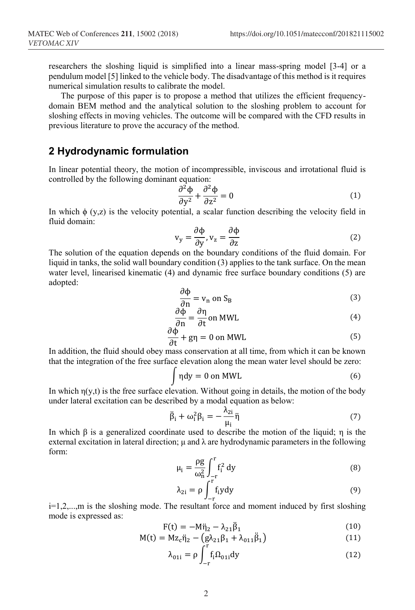researchers the sloshing liquid is simplified into a linear mass-spring model [3-4] or a pendulum model [5] linked to the vehicle body. The disadvantage of this method is it requires numerical simulation results to calibrate the model.

The purpose of this paper is to propose a method that utilizes the efficient frequencydomain BEM method and the analytical solution to the sloshing problem to account for sloshing effects in moving vehicles. The outcome will be compared with the CFD results in previous literature to prove the accuracy of the method.

## **2 Hydrodynamic formulation**

In linear potential theory, the motion of incompressible, inviscous and irrotational fluid is controlled by the following dominant equation:

$$
\frac{\partial^2 \Phi}{\partial y^2} + \frac{\partial^2 \Phi}{\partial z^2} = 0
$$
 (1)

In which  $\phi$  (y,z) is the velocity potential, a scalar function describing the velocity field in fluid domain:

$$
v_y = \frac{\partial \Phi}{\partial y}, v_z = \frac{\partial \Phi}{\partial z}
$$
 (2)

The solution of the equation depends on the boundary conditions of the fluid domain. For liquid in tanks, the solid wall boundary condition (3) applies to the tank surface. On the mean water level, linearised kinematic (4) and dynamic free surface boundary conditions (5) are adopted:

$$
\frac{\partial \Phi}{\partial n} = v_n \text{ on } S_B \tag{3}
$$

$$
\frac{\partial \Phi}{\partial n} = \frac{\partial \eta}{\partial t} \text{ on MWL}
$$
 (4)

$$
\frac{\partial \Phi}{\partial t} + g\eta = 0 \text{ on MWL}
$$
 (5)

dt and dition, the fluid should obey mass conservation at all time, from which it can be known that the integration of the free surface elevation along the mean water level should be zero:

$$
\int \eta dy = 0 \text{ on MWL} \tag{6}
$$

In which  $\eta(y,t)$  is the free surface elevation. Without going in details, the motion of the body under lateral excitation can be described by a modal equation as below:

$$
\ddot{\beta}_i + \omega_i^2 \beta_i = -\frac{\lambda_{2i}}{\mu_i} \ddot{\eta}
$$
 (7)

In which  $\beta$  is a generalized coordinate used to describe the motion of the liquid;  $\eta$  is the external excitation in lateral direction;  $\mu$  and  $\lambda$  are hydrodynamic parameters in the following form:

$$
\mu_i = \frac{\rho g}{\omega_n^2} \int_{-r}^{r} f_i^2 dy
$$
\n(8)

$$
\lambda_{2i} = \rho \int_{-r}^{r} f_i y dy
$$
 (9)

i=1,2,...,m is the sloshing mode. The resultant force and moment induced by first sloshing mode is expressed as:

$$
F(t) = -M_{1/2} \dot{B}_1
$$
 (10)

$$
M(t) = Mz_c \ddot{\eta}_2 - (g\lambda_{21}\beta_1 + \lambda_{011}\dot{\beta}_1)
$$
(11)

$$
\lambda_{01i} = \rho \int_{-r} f_i \Omega_{01i} dy
$$
 (12)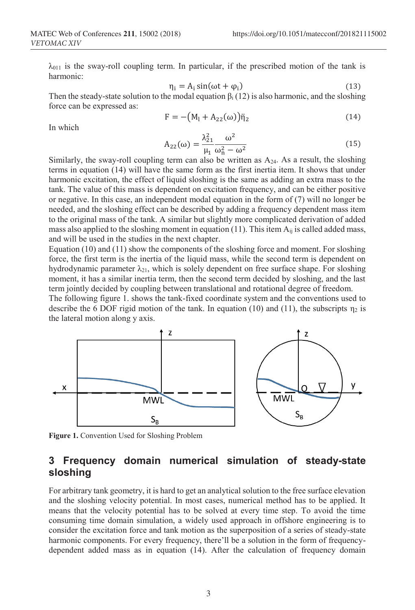$\lambda_{011}$  is the sway-roll coupling term. In particular, if the prescribed motion of the tank is harmonic:

$$
\eta_i = A_i \sin(\omega t + \varphi_i) \tag{13}
$$

Then the steady-state solution to the modal equation  $\beta_i$  (12) is also harmonic, and the sloshing force can be expressed as:

$$
F = -\big(M_1 + A_{22}(\omega)\big)\ddot{\eta}_2\tag{14}
$$

In which

$$
A_{22}(\omega) = \frac{\lambda_{21}^2}{\mu_1} \frac{\omega^2}{\omega_n^2 - \omega^2}
$$
 (15)

Similarly, the sway-roll coupling term can also be written as  $A_{24}$ . As a result, the sloshing terms in equation (14) will have the same form as the first inertia item. It shows that under harmonic excitation, the effect of liquid sloshing is the same as adding an extra mass to the tank. The value of this mass is dependent on excitation frequency, and can be either positive or negative. In this case, an independent modal equation in the form of (7) will no longer be needed, and the sloshing effect can be described by adding a frequency dependent mass item to the original mass of the tank. A similar but slightly more complicated derivation of added mass also applied to the sloshing moment in equation (11). This item  $A_{ij}$  is called added mass, and will be used in the studies in the next chapter.

Equation (10) and (11) show the components of the sloshing force and moment. For sloshing force, the first term is the inertia of the liquid mass, while the second term is dependent on hydrodynamic parameter  $\lambda_{21}$ , which is solely dependent on free surface shape. For sloshing moment, it has a similar inertia term, then the second term decided by sloshing, and the last term jointly decided by coupling between translational and rotational degree of freedom.

The following figure 1. shows the tank-fixed coordinate system and the conventions used to describe the 6 DOF rigid motion of the tank. In equation (10) and (11), the subscripts  $\eta_2$  is the lateral motion along y axis.



**Figure 1.** Convention Used for Sloshing Problem

## **3 Frequency domain numerical simulation of steady-state sloshing**

For arbitrary tank geometry, it is hard to get an analytical solution to the free surface elevation and the sloshing velocity potential. In most cases, numerical method has to be applied. It means that the velocity potential has to be solved at every time step. To avoid the time consuming time domain simulation, a widely used approach in offshore engineering is to consider the excitation force and tank motion as the superposition of a series of steady-state harmonic components. For every frequency, there'll be a solution in the form of frequencydependent added mass as in equation (14). After the calculation of frequency domain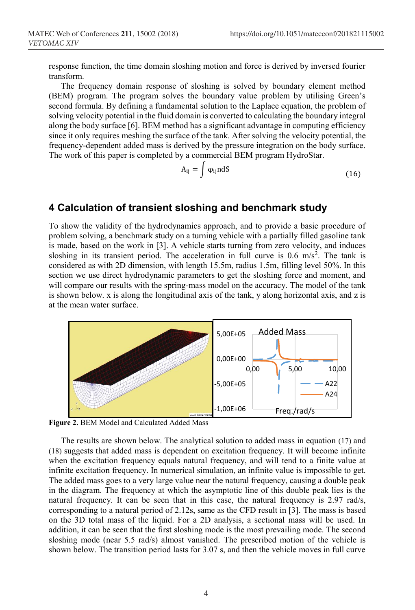response function, the time domain sloshing motion and force is derived by inversed fourier transform.

The frequency domain response of sloshing is solved by boundary element method (BEM) program. The program solves the boundary value problem by utilising Green's second formula. By defining a fundamental solution to the Laplace equation, the problem of solving velocity potential in the fluid domain is converted to calculating the boundary integral along the body surface [6]. BEM method has a significant advantage in computing efficiency since it only requires meshing the surface of the tank. After solving the velocity potential, the frequency-dependent added mass is derived by the pressure integration on the body surface. The work of this paper is completed by a commercial BEM program HydroStar.

$$
A_{ij} = \int \varphi_{ij} n dS \tag{16}
$$

## **4 Calculation of transient sloshing and benchmark study**

To show the validity of the hydrodynamics approach, and to provide a basic procedure of problem solving, a benchmark study on a turning vehicle with a partially filled gasoline tank is made, based on the work in [3]. A vehicle starts turning from zero velocity, and induces sloshing in its transient period. The acceleration in full curve is  $0.6 \text{ m/s}^2$ . The tank is considered as with 2D dimension, with length 15.5m, radius 1.5m, filling level 50%. In this section we use direct hydrodynamic parameters to get the sloshing force and moment, and will compare our results with the spring-mass model on the accuracy. The model of the tank is shown below. x is along the longitudinal axis of the tank, y along horizontal axis, and z is at the mean water surface.



**Figure 2.** BEM Model and Calculated Added Mass

The results are shown below. The analytical solution to added mass in equation (17) and (18) suggests that added mass is dependent on excitation frequency. It will become infinite when the excitation frequency equals natural frequency, and will tend to a finite value at infinite excitation frequency. In numerical simulation, an infinite value is impossible to get. The added mass goes to a very large value near the natural frequency, causing a double peak in the diagram. The frequency at which the asymptotic line of this double peak lies is the natural frequency. It can be seen that in this case, the natural frequency is 2.97 rad/s, corresponding to a natural period of 2.12s, same as the CFD result in [3]. The mass is based on the 3D total mass of the liquid. For a 2D analysis, a sectional mass will be used. In addition, it can be seen that the first sloshing mode is the most prevailing mode. The second sloshing mode (near 5.5 rad/s) almost vanished. The prescribed motion of the vehicle is shown below. The transition period lasts for 3.07 s, and then the vehicle moves in full curve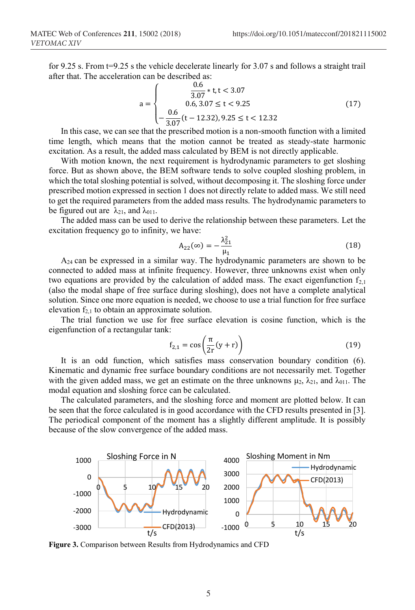for 9.25 s. From t=9.25 s the vehicle decelerate linearly for 3.07 s and follows a straight trail after that. The acceleration can be described as:

$$
a = \begin{cases} 0.6 & 0.6 \\ 0.6 & 3.07 \le t < 3.07 \\ -\frac{0.6}{3.07}(t - 12.32), 9.25 \le t < 12.32 \end{cases}
$$
 (17)  
In this case, we can see that the prescribed motion is a non-smooth function with a limited

time length, which means that the motion cannot be treated as steady-state harmonic excitation. As a result, the added mass calculated by BEM is not directly applicable.

With motion known, the next requirement is hydrodynamic parameters to get sloshing force. But as shown above, the BEM software tends to solve coupled sloshing problem, in which the total sloshing potential is solved, without decomposing it. The sloshing force under prescribed motion expressed in section 1 does not directly relate to added mass. We still need to get the required parameters from the added mass results. The hydrodynamic parameters to be figured out are  $\lambda_{21}$ , and  $\lambda_{011}$ .

The added mass can be used to derive the relationship between these parameters. Let the excitation frequency go to infinity, we have:

$$
A_{22}(\infty) = -\frac{\lambda_{21}^2}{\mu_1}
$$
 (18)

 $A_{24}$  can be expressed in a similar way. The hydrodynamic parameters are shown to be connected to added mass at infinite frequency. However, three unknowns exist when only two equations are provided by the calculation of added mass. The exact eigenfunction  $f_{2,1}$ (also the modal shape of free surface during sloshing), does not have a complete analytical solution. Since one more equation is needed, we choose to use a trial function for free surface elevation  $f_{2,1}$  to obtain an approximate solution.

The trial function we use for free surface elevation is cosine function, which is the eigenfunction of a rectangular tank:

$$
f_{2,1} = \cos\left(\frac{\pi}{2r}(y+r)\right) \tag{19}
$$

It is an odd function, which satisfies mass conservation boundary condition (6). Kinematic and dynamic free surface boundary conditions are not necessarily met. Together with the given added mass, we get an estimate on the three unknowns  $\mu_2$ ,  $\lambda_{21}$ , and  $\lambda_{011}$ . The modal equation and sloshing force can be calculated.

The calculated parameters, and the sloshing force and moment are plotted below. It can be seen that the force calculated is in good accordance with the CFD results presented in [3]. The periodical component of the moment has a slightly different amplitude. It is possibly because of the slow convergence of the added mass.



**Figure 3.** Comparison between Results from Hydrodynamics and CFD